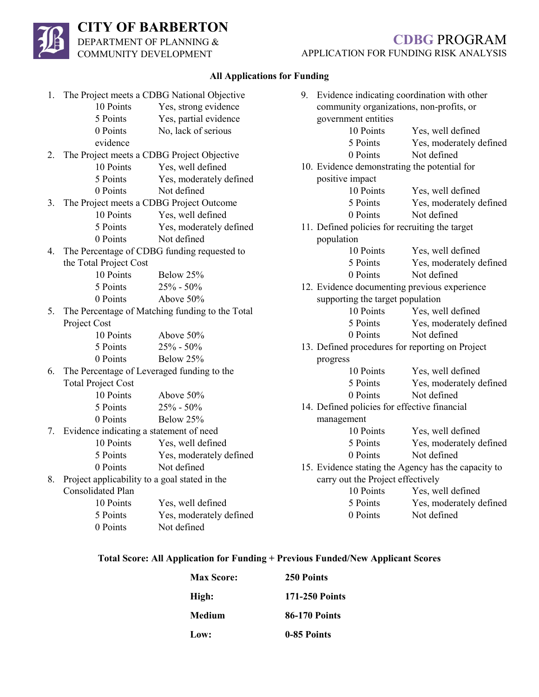# **CITY OF BARBERTON**

DEPARTMENT OF PLANNING & COMMUNITY DEVELOPMENT

## **CDBG** PROGRAM APPLICATION FOR FUNDING RISK ANALYSIS

## **All Applications for Funding**

|    | 1. The Project meets a CDBG National Objective   |                                                 | 9. Evidence indicating coordination with other |                                                |                                                     |
|----|--------------------------------------------------|-------------------------------------------------|------------------------------------------------|------------------------------------------------|-----------------------------------------------------|
|    | 10 Points                                        | Yes, strong evidence                            |                                                | community organizations, non-profits, or       |                                                     |
|    | 5 Points                                         | Yes, partial evidence                           |                                                | government entities                            |                                                     |
|    | 0 Points                                         | No, lack of serious                             |                                                | 10 Points                                      | Yes, well defined                                   |
|    | evidence                                         |                                                 |                                                | 5 Points                                       | Yes, moderately defined                             |
| 2. |                                                  | The Project meets a CDBG Project Objective      |                                                | 0 Points                                       | Not defined                                         |
|    | 10 Points                                        | Yes, well defined                               |                                                | 10. Evidence demonstrating the potential for   |                                                     |
|    | 5 Points                                         | Yes, moderately defined                         |                                                | positive impact                                |                                                     |
|    | 0 Points                                         | Not defined                                     |                                                | 10 Points                                      | Yes, well defined                                   |
| 3. | The Project meets a CDBG Project Outcome         |                                                 |                                                | 5 Points                                       | Yes, moderately defined                             |
|    | 10 Points                                        | Yes, well defined                               |                                                | 0 Points                                       | Not defined                                         |
|    | 5 Points                                         | Yes, moderately defined                         |                                                | 11. Defined policies for recruiting the target |                                                     |
|    | 0 Points                                         | Not defined                                     |                                                | population                                     |                                                     |
| 4. |                                                  | The Percentage of CDBG funding requested to     |                                                | 10 Points                                      | Yes, well defined                                   |
|    | the Total Project Cost                           |                                                 |                                                | 5 Points                                       | Yes, moderately defined                             |
|    | 10 Points                                        | Below 25%                                       |                                                | 0 Points                                       | Not defined                                         |
|    | 5 Points                                         | $25% - 50%$                                     |                                                |                                                | 12. Evidence documenting previous experience        |
|    | 0 Points                                         | Above 50%                                       | supporting the target population               |                                                |                                                     |
| 5. |                                                  | The Percentage of Matching funding to the Total |                                                | 10 Points                                      | Yes, well defined                                   |
|    | Project Cost                                     |                                                 |                                                | 5 Points                                       | Yes, moderately defined                             |
|    | 10 Points                                        | Above 50%                                       |                                                | 0 Points                                       | Not defined                                         |
|    | 5 Points                                         | $25% - 50%$                                     |                                                |                                                | 13. Defined procedures for reporting on Project     |
|    | 0 Points                                         | Below 25%                                       |                                                | progress                                       |                                                     |
| 6. | The Percentage of Leveraged funding to the       |                                                 |                                                | 10 Points                                      | Yes, well defined                                   |
|    | <b>Total Project Cost</b>                        |                                                 |                                                | 5 Points                                       | Yes, moderately defined                             |
|    | 10 Points                                        | Above 50%                                       |                                                | 0 Points                                       | Not defined                                         |
|    | 5 Points                                         | $25% - 50%$                                     |                                                | 14. Defined policies for effective financial   |                                                     |
|    | 0 Points                                         | Below 25%                                       |                                                | management                                     |                                                     |
| 7. | Evidence indicating a statement of need          |                                                 |                                                | 10 Points                                      | Yes, well defined                                   |
|    | 10 Points                                        | Yes, well defined                               |                                                | 5 Points                                       | Yes, moderately defined                             |
|    | 5 Points                                         | Yes, moderately defined                         |                                                | 0 Points                                       | Not defined                                         |
|    | 0 Points                                         | Not defined                                     |                                                |                                                | 15. Evidence stating the Agency has the capacity to |
|    | 8. Project applicability to a goal stated in the |                                                 | carry out the Project effectively              |                                                |                                                     |
|    | Consolidated Plan                                |                                                 |                                                | 10 Points                                      | Yes, well defined                                   |
|    | 10 Points                                        | Yes, well defined                               |                                                | 5 Points                                       | Yes, moderately defined                             |
|    | 5 Points                                         | Yes, moderately defined                         |                                                | 0 Points                                       | Not defined                                         |
|    | 0 Points                                         | Not defined                                     |                                                |                                                |                                                     |

#### **Total Score: All Application for Funding + Previous Funded/New Applicant Scores**

| <b>Max Score:</b> | 250 Points            |
|-------------------|-----------------------|
| High:             | <b>171-250 Points</b> |
| Medium            | <b>86-170 Points</b>  |
| Low:              | 0-85 Points           |